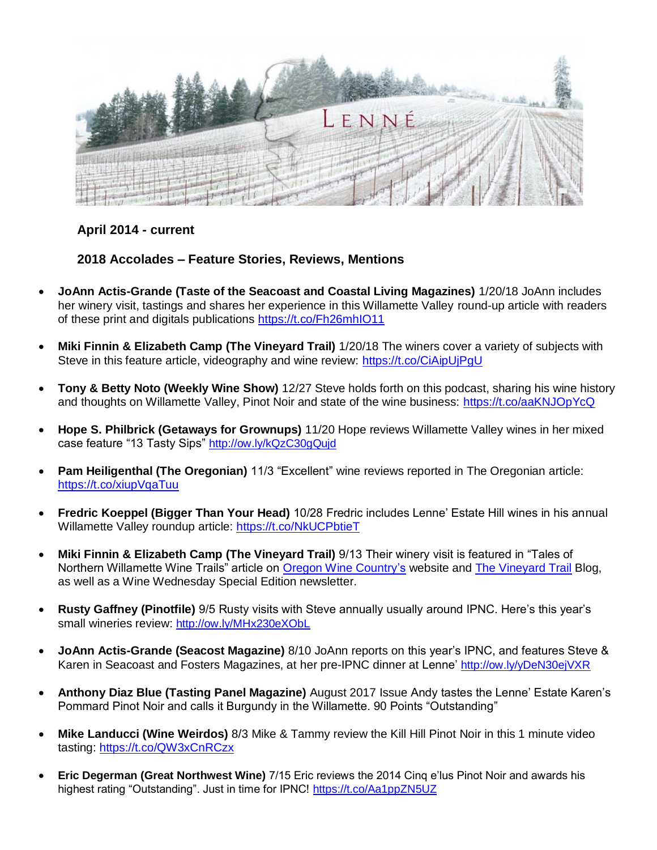

## **April 2014 - current**

**2018 Accolades – Feature Stories, Reviews, Mentions**

- **JoAnn Actis-Grande (Taste of the Seacoast and Coastal Living Magazines)** 1/20/18 JoAnn includes her winery visit, tastings and shares her experience in this Willamette Valley round-up article with readers of these print and digitals publications<https://t.co/Fh26mhIO11>
- **Miki Finnin & Elizabeth Camp (The Vineyard Trail)** 1/20/18 The winers cover a variety of subjects with Steve in this feature article, videography and wine review:<https://t.co/CiAipUjPgU>
- **Tony & Betty Noto (Weekly Wine Show)** 12/27 Steve holds forth on this podcast, sharing his wine history and thoughts on Willamette Valley, Pinot Noir and state of the wine business:<https://t.co/aaKNJOpYcQ>
- **Hope S. Philbrick (Getaways for Grownups)** 11/20 Hope reviews Willamette Valley wines in her mixed case feature "13 Tasty Sips" <http://ow.ly/kQzC30gQujd>
- **Pam Heiligenthal (The Oregonian)** 11/3 "Excellent" wine reviews reported in The Oregonian article: <https://t.co/xiupVqaTuu>
- **Fredric Koeppel (Bigger Than Your Head)** 10/28 Fredric includes Lenne' Estate Hill wines in his annual Willamette Valley roundup article:<https://t.co/NkUCPbtieT>
- **Miki Finnin & Elizabeth Camp (The Vineyard Trail)** 9/13 Their winery visit is featured in "Tales of Northern Willamette Wine Trails" article on [Oregon Wine Country's](http://www.oregonwinecountry.org/visit-our-valley/tales-on-the-northern-willamette-wine-trails) website and [The Vineyard Trail](https://www.thevineyardtrail.com/tales-on-the-northern-willamette-wine-trails/) Blog, as well as a Wine Wednesday Special Edition newsletter.
- **Rusty Gaffney (Pinotfile)** 9/5 Rusty visits with Steve annually usually around IPNC. Here's this year's small wineries review: <http://ow.ly/MHx230eXObL>
- **JoAnn Actis-Grande (Seacost Magazine)** 8/10 JoAnn reports on this year's IPNC, and features Steve & Karen in Seacoast and Fosters Magazines, at her pre-IPNC dinner at Lenne' <http://ow.ly/yDeN30ejVXR>
- **Anthony Diaz Blue (Tasting Panel Magazine)** August 2017 Issue Andy tastes the Lenne' Estate Karen's Pommard Pinot Noir and calls it Burgundy in the Willamette. 90 Points "Outstanding"
- **Mike Landucci (Wine Weirdos)** 8/3 Mike & Tammy review the Kill Hill Pinot Noir in this 1 minute video tasting:<https://t.co/QW3xCnRCzx>
- **Eric Degerman (Great Northwest Wine)** 7/15 Eric reviews the 2014 Cinq e'lus Pinot Noir and awards his highest rating "Outstanding". Just in time for IPNC! <https://t.co/Aa1ppZN5UZ>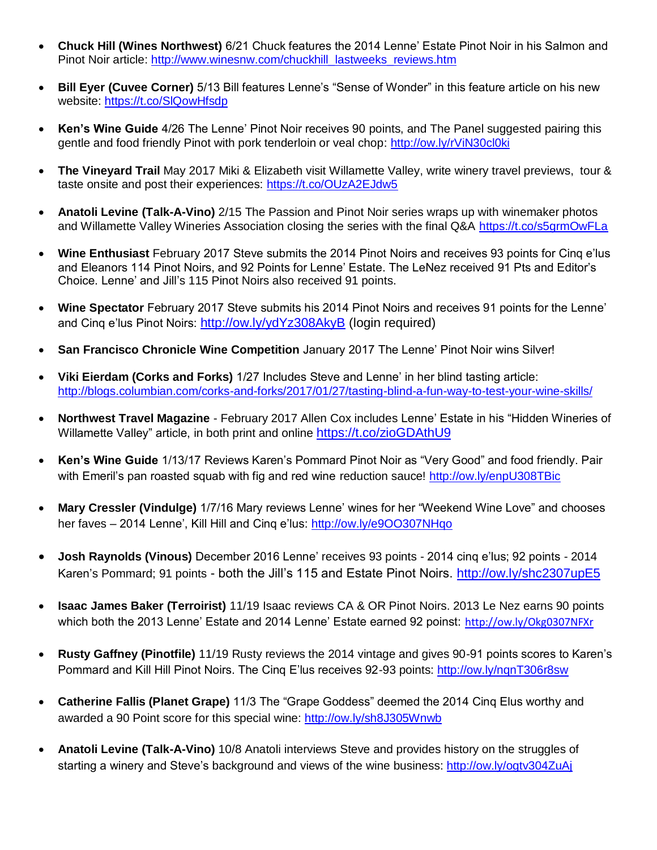- **Chuck Hill (Wines Northwest)** 6/21 Chuck features the 2014 Lenne' Estate Pinot Noir in his Salmon and Pinot Noir article: [http://www.winesnw.com/chuckhill\\_lastweeks\\_reviews.htm](http://www.winesnw.com/chuckhill_lastweeks_reviews.htm)
- **Bill Eyer (Cuvee Corner)** 5/13 Bill features Lenne's "Sense of Wonder" in this feature article on his new website:<https://t.co/SlQowHfsdp>
- **Ken's Wine Guide** 4/26 The Lenne' Pinot Noir receives 90 points, and The Panel suggested pairing this gentle and food friendly Pinot with pork tenderloin or veal chop:<http://ow.ly/rViN30cl0ki>
- **The Vineyard Trail** May 2017 Miki & Elizabeth visit Willamette Valley, write winery travel previews, tour & taste onsite and post their experiences: <https://t.co/OUzA2EJdw5>
- **Anatoli Levine (Talk-A-Vino)** 2/15 The Passion and Pinot Noir series wraps up with winemaker photos and Willamette Valley Wineries Association closing the series with the final Q&A<https://t.co/s5grmOwFLa>
- **Wine Enthusiast** February 2017 Steve submits the 2014 Pinot Noirs and receives 93 points for Cinq e'lus and Eleanors 114 Pinot Noirs, and 92 Points for Lenne' Estate. The LeNez received 91 Pts and Editor's Choice. Lenne' and Jill's 115 Pinot Noirs also received 91 points.
- **Wine Spectator** February 2017 Steve submits his 2014 Pinot Noirs and receives 91 points for the Lenne' and Cinq e'lus Pinot Noirs: <http://ow.ly/ydYz308AkyB> (login required)
- **San Francisco Chronicle Wine Competition** January 2017 The Lenne' Pinot Noir wins Silver!
- **Viki Eierdam (Corks and Forks)** 1/27 Includes Steve and Lenne' in her blind tasting article: <http://blogs.columbian.com/corks-and-forks/2017/01/27/tasting-blind-a-fun-way-to-test-your-wine-skills/>
- **Northwest Travel Magazine**  February 2017 Allen Cox includes Lenne' Estate in his "Hidden Wineries of Willamette Valley" article, in both print and online <https://t.co/zioGDAthU9>
- **Ken's Wine Guide** 1/13/17 Reviews Karen's Pommard Pinot Noir as "Very Good" and food friendly. Pair with Emeril's pan roasted squab with fig and red wine reduction sauce!<http://ow.ly/enpU308TBic>
- **Mary Cressler (Vindulge)** 1/7/16 Mary reviews Lenne' wines for her "Weekend Wine Love" and chooses her faves – 2014 Lenne', Kill Hill and Cinq e'lus:<http://ow.ly/e9OO307NHqo>
- **Josh Raynolds (Vinous)** December 2016 Lenne' receives 93 points 2014 cinq e'lus; 92 points 2014 Karen's Pommard; 91 points - both the Jill's 115 and Estate Pinot Noirs. <http://ow.ly/shc2307upE5>
- **Isaac James Baker (Terroirist)** 11/19 Isaac reviews CA & OR Pinot Noirs. 2013 Le Nez earns 90 points which both the 2013 Lenne' Estate and 2014 Lenne' Estate earned 92 poinst: <http://ow.ly/Okg0307NFXr>
- **Rusty Gaffney (Pinotfile)** 11/19 Rusty reviews the 2014 vintage and gives 90-91 points scores to Karen's Pommard and Kill Hill Pinot Noirs. The Cinq E'lus receives 92-93 points:<http://ow.ly/nqnT306r8sw>
- **Catherine Fallis (Planet Grape)** 11/3 The "Grape Goddess" deemed the 2014 Cinq Elus worthy and awarded a 90 Point score for this special wine:<http://ow.ly/sh8J305Wnwb>
- **Anatoli Levine (Talk-A-Vino)** 10/8 Anatoli interviews Steve and provides history on the struggles of starting a winery and Steve's background and views of the wine business:<http://ow.ly/ogtv304ZuAj>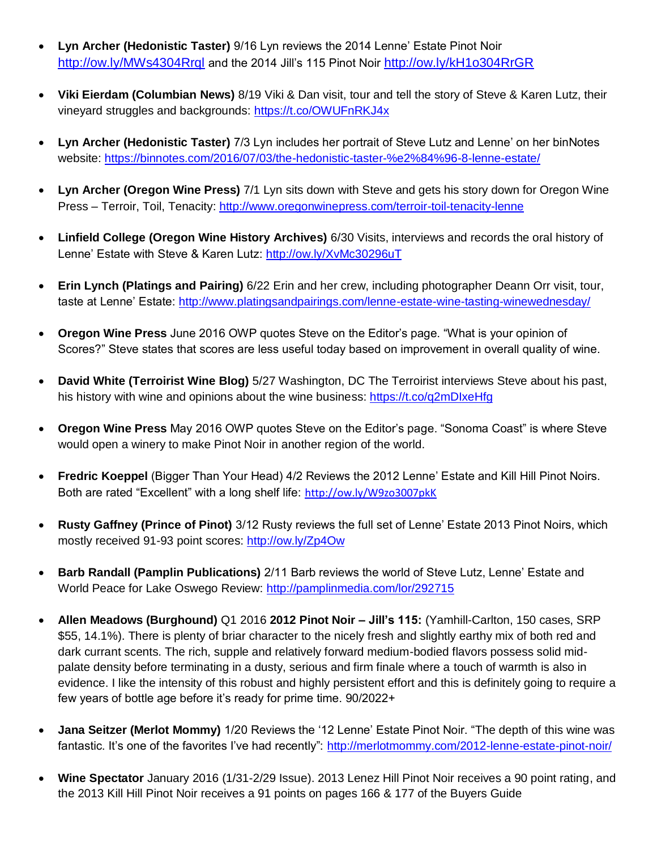- **Lyn Archer (Hedonistic Taster)** 9/16 Lyn reviews the 2014 Lenne' Estate Pinot Noir <http://ow.ly/MWs4304Rrql> and the 2014 Jill's 115 Pinot Noir <http://ow.ly/kH1o304RrGR>
- **Viki Eierdam (Columbian News)** 8/19 Viki & Dan visit, tour and tell the story of Steve & Karen Lutz, their vineyard struggles and backgrounds:<https://t.co/OWUFnRKJ4x>
- **Lyn Archer (Hedonistic Taster)** 7/3 Lyn includes her portrait of Steve Lutz and Lenne' on her binNotes website:<https://binnotes.com/2016/07/03/the-hedonistic-taster-%e2%84%96-8-lenne-estate/>
- **Lyn Archer (Oregon Wine Press)** 7/1 Lyn sits down with Steve and gets his story down for Oregon Wine Press – Terroir, Toil, Tenacity:<http://www.oregonwinepress.com/terroir-toil-tenacity-lenne>
- **Linfield College (Oregon Wine History Archives)** 6/30 Visits, interviews and records the oral history of Lenne' Estate with Steve & Karen Lutz:<http://ow.ly/XvMc30296uT>
- **Erin Lynch (Platings and Pairing)** 6/22 Erin and her crew, including photographer Deann Orr visit, tour, taste at Lenne' Estate:<http://www.platingsandpairings.com/lenne-estate-wine-tasting-winewednesday/>
- **Oregon Wine Press** June 2016 OWP quotes Steve on the Editor's page. "What is your opinion of Scores?" Steve states that scores are less useful today based on improvement in overall quality of wine.
- **David White (Terroirist Wine Blog)** 5/27 Washington, DC The Terroirist interviews Steve about his past, his history with wine and opinions about the wine business:<https://t.co/q2mDIxeHfg>
- **Oregon Wine Press** May 2016 OWP quotes Steve on the Editor's page. "Sonoma Coast" is where Steve would open a winery to make Pinot Noir in another region of the world.
- **Fredric Koeppel** (Bigger Than Your Head) 4/2 Reviews the 2012 Lenne' Estate and Kill Hill Pinot Noirs. Both are rated "Excellent" with a long shelf life: <http://ow.ly/W9zo3007pkK>
- **Rusty Gaffney (Prince of Pinot)** 3/12 Rusty reviews the full set of Lenne' Estate 2013 Pinot Noirs, which mostly received 91-93 point scores:<http://ow.ly/Zp4Ow>
- **Barb Randall (Pamplin Publications)** 2/11 Barb reviews the world of Steve Lutz, Lenne' Estate and World Peace for Lake Oswego Review:<http://pamplinmedia.com/lor/292715>
- **Allen Meadows (Burghound)** Q1 2016 **2012 Pinot Noir – Jill's 115:** (Yamhill-Carlton, 150 cases, SRP \$55, 14.1%). There is plenty of briar character to the nicely fresh and slightly earthy mix of both red and dark currant scents. The rich, supple and relatively forward medium-bodied flavors possess solid midpalate density before terminating in a dusty, serious and firm finale where a touch of warmth is also in evidence. I like the intensity of this robust and highly persistent effort and this is definitely going to require a few years of bottle age before it's ready for prime time. 90/2022+
- **Jana Seitzer (Merlot Mommy)** 1/20 Reviews the '12 Lenne' Estate Pinot Noir. "The depth of this wine was fantastic. It's one of the favorites I've had recently":<http://merlotmommy.com/2012-lenne-estate-pinot-noir/>
- **Wine Spectator** January 2016 (1/31-2/29 Issue). 2013 Lenez Hill Pinot Noir receives a 90 point rating, and the 2013 Kill Hill Pinot Noir receives a 91 points on pages 166 & 177 of the Buyers Guide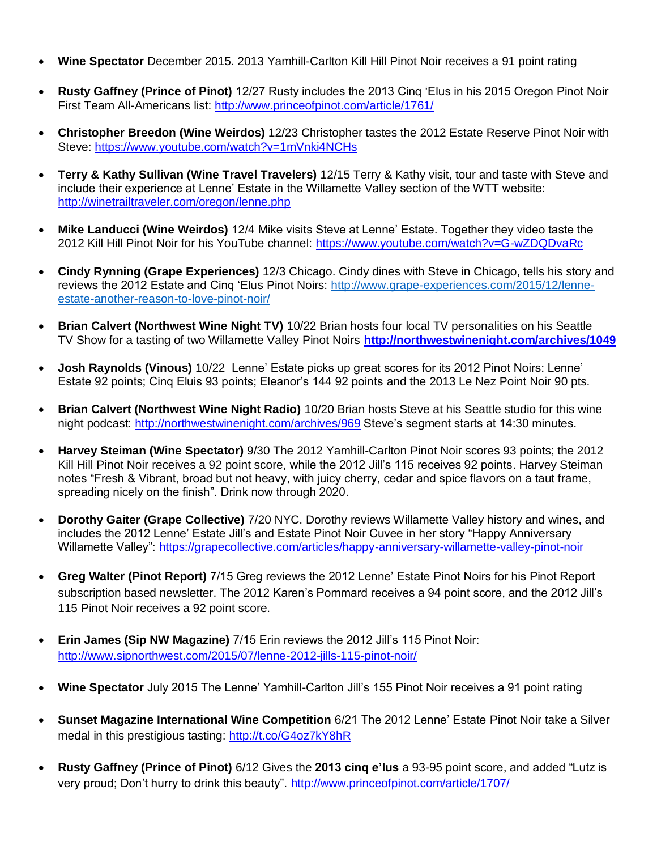- **Wine Spectator** December 2015. 2013 Yamhill-Carlton Kill Hill Pinot Noir receives a 91 point rating
- **Rusty Gaffney (Prince of Pinot)** 12/27 Rusty includes the 2013 Cinq 'Elus in his 2015 Oregon Pinot Noir First Team All-Americans list:<http://www.princeofpinot.com/article/1761/>
- **Christopher Breedon (Wine Weirdos)** 12/23 Christopher tastes the 2012 Estate Reserve Pinot Noir with Steve:<https://www.youtube.com/watch?v=1mVnki4NCHs>
- **Terry & Kathy Sullivan (Wine Travel Travelers)** 12/15 Terry & Kathy visit, tour and taste with Steve and include their experience at Lenne' Estate in the Willamette Valley section of the WTT website: <http://winetrailtraveler.com/oregon/lenne.php>
- **Mike Landucci (Wine Weirdos)** 12/4 Mike visits Steve at Lenne' Estate. Together they video taste the 2012 Kill Hill Pinot Noir for his YouTube channel:<https://www.youtube.com/watch?v=G-wZDQDvaRc>
- **Cindy Rynning (Grape Experiences)** 12/3 Chicago. Cindy dines with Steve in Chicago, tells his story and reviews the 2012 Estate and Cinq 'Elus Pinot Noirs: [http://www.grape-experiences.com/2015/12/lenne](http://www.grape-experiences.com/2015/12/lenne-estate-another-reason-to-love-pinot-noir/)[estate-another-reason-to-love-pinot-noir/](http://www.grape-experiences.com/2015/12/lenne-estate-another-reason-to-love-pinot-noir/)
- **Brian Calvert (Northwest Wine Night TV)** 10/22 Brian hosts four local TV personalities on his Seattle TV Show for a tasting of two Willamette Valley Pinot Noirs **<http://northwestwinenight.com/archives/1049>**
- **Josh Raynolds (Vinous)** 10/22 Lenne' Estate picks up great scores for its 2012 Pinot Noirs: Lenne' Estate 92 points; Cinq Eluis 93 points; Eleanor's 144 92 points and the 2013 Le Nez Point Noir 90 pts.
- **Brian Calvert (Northwest Wine Night Radio)** 10/20 Brian hosts Steve at his Seattle studio for this wine night podcast:<http://northwestwinenight.com/archives/969> Steve's segment starts at 14:30 minutes.
- **Harvey Steiman (Wine Spectator)** 9/30 The 2012 Yamhill-Carlton Pinot Noir scores 93 points; the 2012 Kill Hill Pinot Noir receives a 92 point score, while the 2012 Jill's 115 receives 92 points. Harvey Steiman notes "Fresh & Vibrant, broad but not heavy, with juicy cherry, cedar and spice flavors on a taut frame, spreading nicely on the finish". Drink now through 2020.
- **Dorothy Gaiter (Grape Collective)** 7/20 NYC. Dorothy reviews Willamette Valley history and wines, and includes the 2012 Lenne' Estate Jill's and Estate Pinot Noir Cuvee in her story "Happy Anniversary Willamette Valley":<https://grapecollective.com/articles/happy-anniversary-willamette-valley-pinot-noir>
- **Greg Walter (Pinot Report)** 7/15 Greg reviews the 2012 Lenne' Estate Pinot Noirs for his Pinot Report subscription based newsletter. The 2012 Karen's Pommard receives a 94 point score, and the 2012 Jill's 115 Pinot Noir receives a 92 point score.
- **Erin James (Sip NW Magazine)** 7/15 Erin reviews the 2012 Jill's 115 Pinot Noir: <http://www.sipnorthwest.com/2015/07/lenne-2012-jills-115-pinot-noir/>
- **Wine Spectator** July 2015 The Lenne' Yamhill-Carlton Jill's 155 Pinot Noir receives a 91 point rating
- **Sunset Magazine International Wine Competition** 6/21 The 2012 Lenne' Estate Pinot Noir take a Silver medal in this prestigious tasting:<http://t.co/G4oz7kY8hR>
- **Rusty Gaffney (Prince of Pinot)** 6/12 Gives the **2013 cinq e'lus** a 93-95 point score, and added "Lutz is very proud; Don't hurry to drink this beauty".<http://www.princeofpinot.com/article/1707/>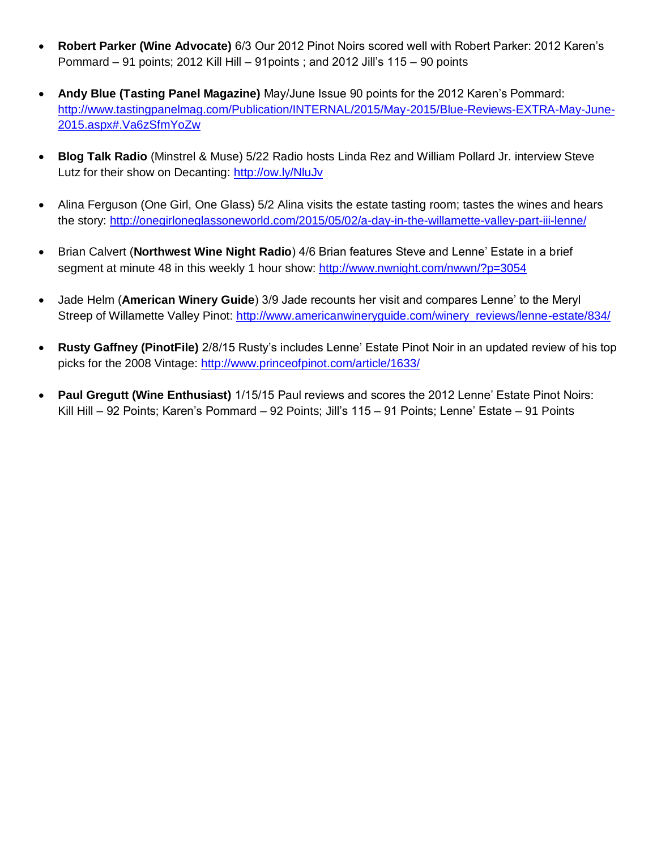- **Robert Parker (Wine Advocate)** 6/3 Our 2012 Pinot Noirs scored well with Robert Parker: 2012 Karen's Pommard – 91 points; 2012 Kill Hill – 91points ; and 2012 Jill's 115 – 90 points
- **Andy Blue (Tasting Panel Magazine)** May/June Issue 90 points for the 2012 Karen's Pommard: [http://www.tastingpanelmag.com/Publication/INTERNAL/2015/May-2015/Blue-Reviews-EXTRA-May-June-](http://www.tastingpanelmag.com/Publication/INTERNAL/2015/May-2015/Blue-Reviews-EXTRA-May-June-2015.aspx#.Va6zSfmYoZw)[2015.aspx#.Va6zSfmYoZw](http://www.tastingpanelmag.com/Publication/INTERNAL/2015/May-2015/Blue-Reviews-EXTRA-May-June-2015.aspx#.Va6zSfmYoZw)
- **Blog Talk Radio** (Minstrel & Muse) 5/22 Radio hosts Linda Rez and William Pollard Jr. interview Steve Lutz for their show on Decanting:<http://ow.ly/NluJv>
- Alina Ferguson (One Girl, One Glass) 5/2 Alina visits the estate tasting room; tastes the wines and hears the story:<http://onegirloneglassoneworld.com/2015/05/02/a-day-in-the-willamette-valley-part-iii-lenne/>
- Brian Calvert (**Northwest Wine Night Radio**) 4/6 Brian features Steve and Lenne' Estate in a brief segment at minute 48 in this weekly 1 hour show:<http://www.nwnight.com/nwwn/?p=3054>
- Jade Helm (**American Winery Guide**) 3/9 Jade recounts her visit and compares Lenne' to the Meryl Streep of Willamette Valley Pinot: http://www.americanwineryquide.com/winery\_reviews/lenne-estate/834/
- **Rusty Gaffney (PinotFile)** 2/8/15 Rusty's includes Lenne' Estate Pinot Noir in an updated review of his top picks for the 2008 Vintage:<http://www.princeofpinot.com/article/1633/>
- **Paul Gregutt (Wine Enthusiast)** 1/15/15 Paul reviews and scores the 2012 Lenne' Estate Pinot Noirs: Kill Hill – 92 Points; Karen's Pommard – 92 Points; Jill's 115 – 91 Points; Lenne' Estate – 91 Points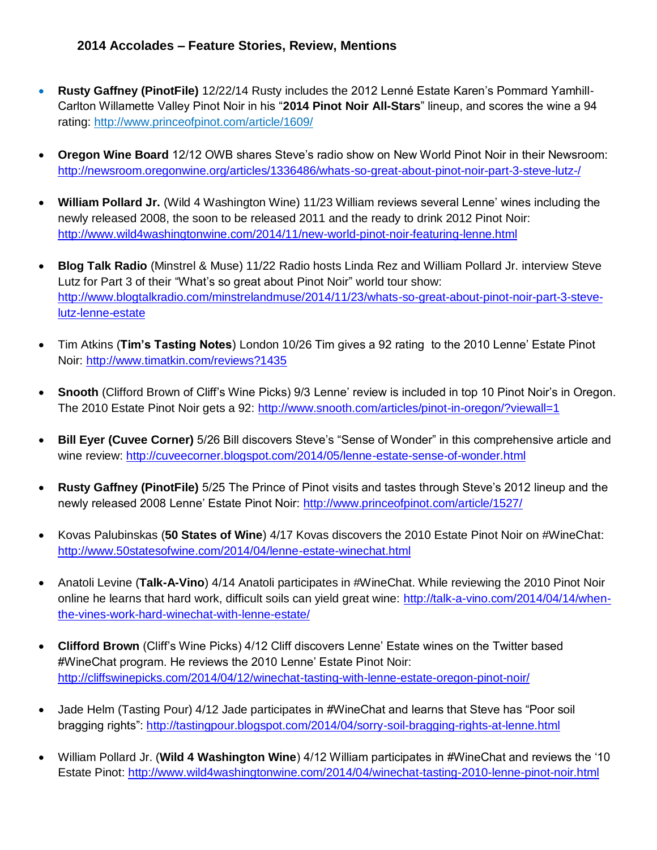- **Rusty Gaffney (PinotFile)** 12/22/14 Rusty includes the 2012 Lenné Estate Karen's Pommard Yamhill-Carlton Willamette Valley Pinot Noir in his "**2014 Pinot Noir All-Stars**" lineup, and scores the wine a 94 rating: <http://www.princeofpinot.com/article/1609/>
- **Oregon Wine Board** 12/12 OWB shares Steve's radio show on New World Pinot Noir in their Newsroom: <http://newsroom.oregonwine.org/articles/1336486/whats-so-great-about-pinot-noir-part-3-steve-lutz-/>
- **William Pollard Jr.** (Wild 4 Washington Wine) 11/23 William reviews several Lenne' wines including the newly released 2008, the soon to be released 2011 and the ready to drink 2012 Pinot Noir: <http://www.wild4washingtonwine.com/2014/11/new-world-pinot-noir-featuring-lenne.html>
- **Blog Talk Radio** (Minstrel & Muse) 11/22 Radio hosts Linda Rez and William Pollard Jr. interview Steve Lutz for Part 3 of their "What's so great about Pinot Noir" world tour show: [http://www.blogtalkradio.com/minstrelandmuse/2014/11/23/whats-so-great-about-pinot-noir-part-3-steve](http://www.blogtalkradio.com/minstrelandmuse/2014/11/23/whats-so-great-about-pinot-noir-part-3-steve-lutz-lenne-estate)[lutz-lenne-estate](http://www.blogtalkradio.com/minstrelandmuse/2014/11/23/whats-so-great-about-pinot-noir-part-3-steve-lutz-lenne-estate)
- Tim Atkins (**Tim's Tasting Notes**) London 10/26 Tim gives a 92 rating to the 2010 Lenne' Estate Pinot Noir:<http://www.timatkin.com/reviews?1435>
- **Snooth** (Clifford Brown of Cliff's Wine Picks) 9/3 Lenne' review is included in top 10 Pinot Noir's in Oregon. The 2010 Estate Pinot Noir gets a 92:<http://www.snooth.com/articles/pinot-in-oregon/?viewall=1>
- **Bill Eyer (Cuvee Corner)** 5/26 Bill discovers Steve's "Sense of Wonder" in this comprehensive article and wine review:<http://cuveecorner.blogspot.com/2014/05/lenne-estate-sense-of-wonder.html>
- **Rusty Gaffney (PinotFile)** 5/25 The Prince of Pinot visits and tastes through Steve's 2012 lineup and the newly released 2008 Lenne' Estate Pinot Noir:<http://www.princeofpinot.com/article/1527/>
- Kovas Palubinskas (**50 States of Wine**) 4/17 Kovas discovers the 2010 Estate Pinot Noir on #WineChat: <http://www.50statesofwine.com/2014/04/lenne-estate-winechat.html>
- Anatoli Levine (**Talk-A-Vino**) 4/14 Anatoli participates in #WineChat. While reviewing the 2010 Pinot Noir online he learns that hard work, difficult soils can yield great wine: [http://talk-a-vino.com/2014/04/14/when](http://talk-a-vino.com/2014/04/14/when-the-vines-work-hard-winechat-with-lenne-estate/)[the-vines-work-hard-winechat-with-lenne-estate/](http://talk-a-vino.com/2014/04/14/when-the-vines-work-hard-winechat-with-lenne-estate/)
- **Clifford Brown** (Cliff's Wine Picks) 4/12 Cliff discovers Lenne' Estate wines on the Twitter based #WineChat program. He reviews the 2010 Lenne' Estate Pinot Noir: <http://cliffswinepicks.com/2014/04/12/winechat-tasting-with-lenne-estate-oregon-pinot-noir/>
- Jade Helm (Tasting Pour) 4/12 Jade participates in #WineChat and learns that Steve has "Poor soil bragging rights":<http://tastingpour.blogspot.com/2014/04/sorry-soil-bragging-rights-at-lenne.html>
- William Pollard Jr. (**Wild 4 Washington Wine**) 4/12 William participates in #WineChat and reviews the '10 Estate Pinot:<http://www.wild4washingtonwine.com/2014/04/winechat-tasting-2010-lenne-pinot-noir.html>